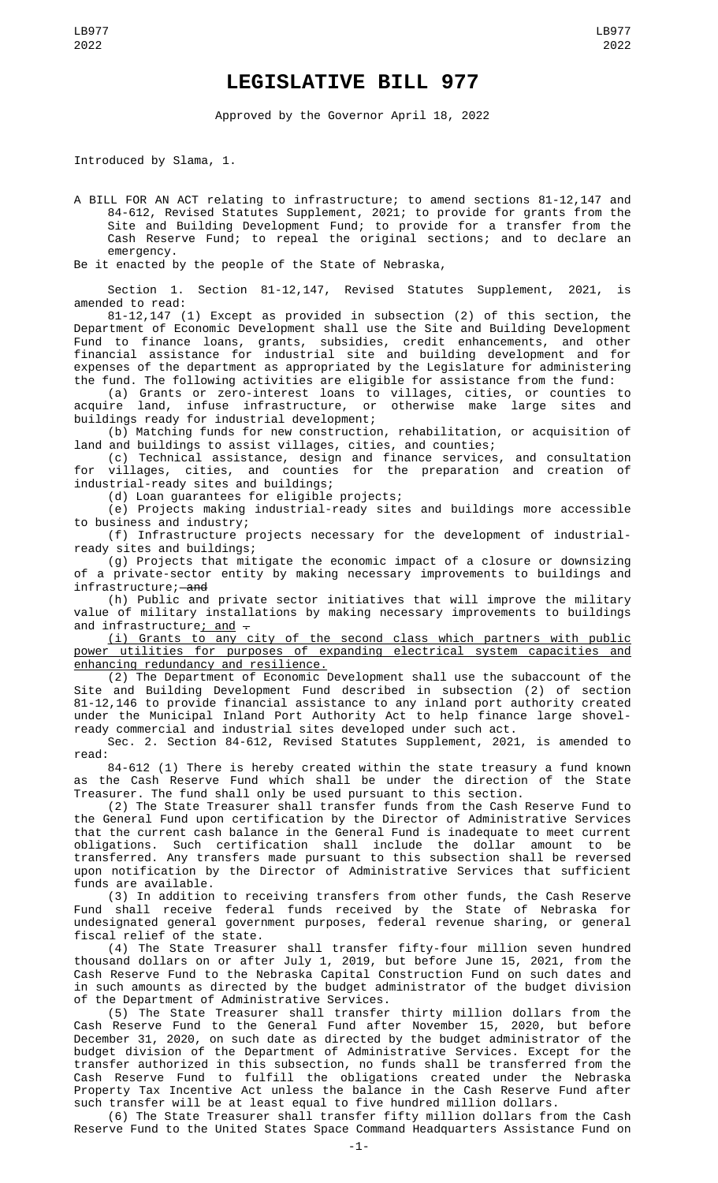## **LEGISLATIVE BILL 977**

Approved by the Governor April 18, 2022

Introduced by Slama, 1.

A BILL FOR AN ACT relating to infrastructure; to amend sections 81-12,147 and 84-612, Revised Statutes Supplement, 2021; to provide for grants from the Site and Building Development Fund; to provide for a transfer from the Cash Reserve Fund; to repeal the original sections; and to declare an emergency.

Be it enacted by the people of the State of Nebraska,

Section 1. Section 81-12,147, Revised Statutes Supplement, 2021, is amended to read:

81-12,147 (1) Except as provided in subsection (2) of this section, the Department of Economic Development shall use the Site and Building Development Fund to finance loans, grants, subsidies, credit enhancements, and other financial assistance for industrial site and building development and for expenses of the department as appropriated by the Legislature for administering the fund. The following activities are eligible for assistance from the fund:

(a) Grants or zero-interest loans to villages, cities, or counties to acquire land, infuse infrastructure, or otherwise make large sites and buildings ready for industrial development;

(b) Matching funds for new construction, rehabilitation, or acquisition of land and buildings to assist villages, cities, and counties;

(c) Technical assistance, design and finance services, and consultation for villages, cities, and counties for the preparation and creation of industrial-ready sites and buildings;

(d) Loan guarantees for eligible projects;

(e) Projects making industrial-ready sites and buildings more accessible to business and industry;

(f) Infrastructure projects necessary for the development of industrialready sites and buildings;

(g) Projects that mitigate the economic impact of a closure or downsizing of a private-sector entity by making necessary improvements to buildings and infrastructure; and

(h) Public and private sector initiatives that will improve the military value of military installations by making necessary improvements to buildings and infrastructure; and -

(i) Grants to any city of the second class which partners with public power utilities for purposes of expanding electrical system capacities and enhancing redundancy and resilience.

(2) The Department of Economic Development shall use the subaccount of the Site and Building Development Fund described in subsection (2) of section 81-12,146 to provide financial assistance to any inland port authority created under the Municipal Inland Port Authority Act to help finance large shovelready commercial and industrial sites developed under such act.

Sec. 2. Section 84-612, Revised Statutes Supplement, 2021, is amended to read:

84-612 (1) There is hereby created within the state treasury a fund known as the Cash Reserve Fund which shall be under the direction of the State Treasurer. The fund shall only be used pursuant to this section.

(2) The State Treasurer shall transfer funds from the Cash Reserve Fund to the General Fund upon certification by the Director of Administrative Services that the current cash balance in the General Fund is inadequate to meet current obligations. Such certification shall include the dollar amount to be transferred. Any transfers made pursuant to this subsection shall be reversed upon notification by the Director of Administrative Services that sufficient funds are available.

(3) In addition to receiving transfers from other funds, the Cash Reserve Fund shall receive federal funds received by the State of Nebraska for undesignated general government purposes, federal revenue sharing, or general fiscal relief of the state.

(4) The State Treasurer shall transfer fifty-four million seven hundred thousand dollars on or after July 1, 2019, but before June 15, 2021, from the Cash Reserve Fund to the Nebraska Capital Construction Fund on such dates and in such amounts as directed by the budget administrator of the budget division of the Department of Administrative Services.

(5) The State Treasurer shall transfer thirty million dollars from the Cash Reserve Fund to the General Fund after November 15, 2020, but before December 31, 2020, on such date as directed by the budget administrator of the budget division of the Department of Administrative Services. Except for the transfer authorized in this subsection, no funds shall be transferred from the Cash Reserve Fund to fulfill the obligations created under the Nebraska Property Tax Incentive Act unless the balance in the Cash Reserve Fund after such transfer will be at least equal to five hundred million dollars.

(6) The State Treasurer shall transfer fifty million dollars from the Cash Reserve Fund to the United States Space Command Headquarters Assistance Fund on